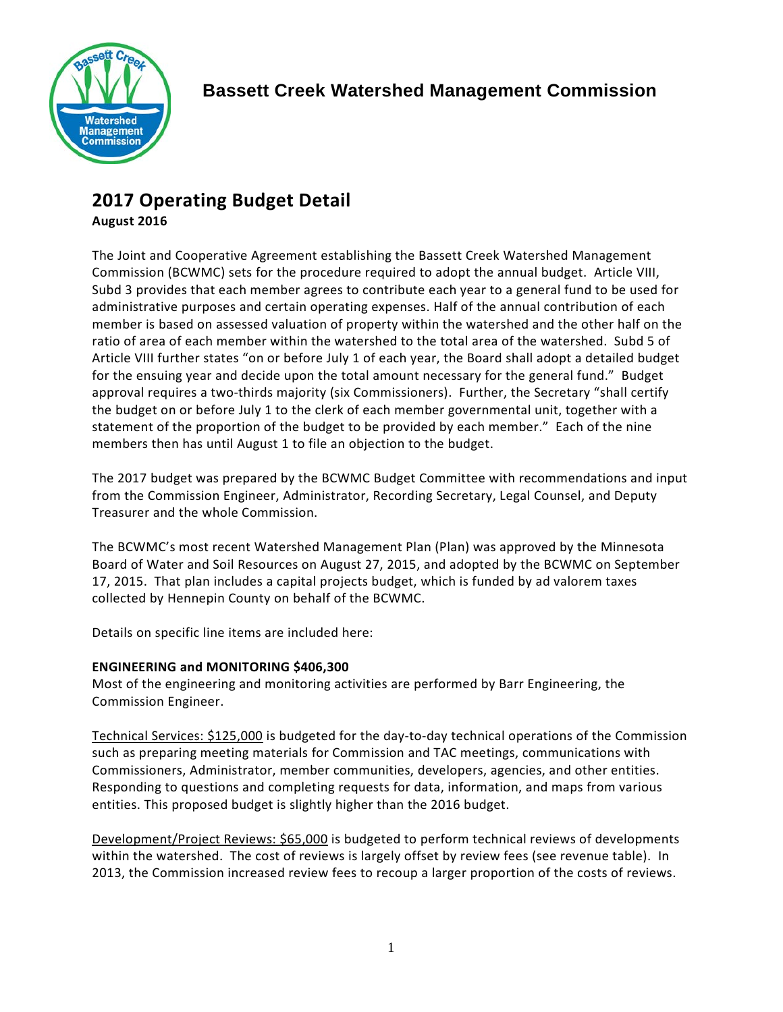

# **2017 Operating Budget Detail**

## **August 2016**

The Joint and Cooperative Agreement establishing the Bassett Creek Watershed Management Commission (BCWMC) sets for the procedure required to adopt the annual budget. Article VIII, Subd 3 provides that each member agrees to contribute each year to a general fund to be used for administrative purposes and certain operating expenses. Half of the annual contribution of each member is based on assessed valuation of property within the watershed and the other half on the ratio of area of each member within the watershed to the total area of the watershed. Subd 5 of Article VIII further states "on or before July 1 of each year, the Board shall adopt a detailed budget for the ensuing year and decide upon the total amount necessary for the general fund." Budget approval requires a two-thirds majority (six Commissioners). Further, the Secretary "shall certify the budget on or before July 1 to the clerk of each member governmental unit, together with a statement of the proportion of the budget to be provided by each member." Each of the nine members then has until August 1 to file an objection to the budget.

The 2017 budget was prepared by the BCWMC Budget Committee with recommendations and input from the Commission Engineer, Administrator, Recording Secretary, Legal Counsel, and Deputy Treasurer and the whole Commission.

The BCWMC's most recent Watershed Management Plan (Plan) was approved by the Minnesota Board of Water and Soil Resources on August 27, 2015, and adopted by the BCWMC on September 17, 2015. That plan includes a capital projects budget, which is funded by ad valorem taxes collected by Hennepin County on behalf of the BCWMC.

Details on specific line items are included here:

## **ENGINEERING and MONITORING \$406,300**

Most of the engineering and monitoring activities are performed by Barr Engineering, the Commission Engineer.

Technical Services: \$125,000 is budgeted for the day-to-day technical operations of the Commission such as preparing meeting materials for Commission and TAC meetings, communications with Commissioners, Administrator, member communities, developers, agencies, and other entities. Responding to questions and completing requests for data, information, and maps from various entities. This proposed budget is slightly higher than the 2016 budget.

Development/Project Reviews: \$65,000 is budgeted to perform technical reviews of developments within the watershed. The cost of reviews is largely offset by review fees (see revenue table). In 2013, the Commission increased review fees to recoup a larger proportion of the costs of reviews.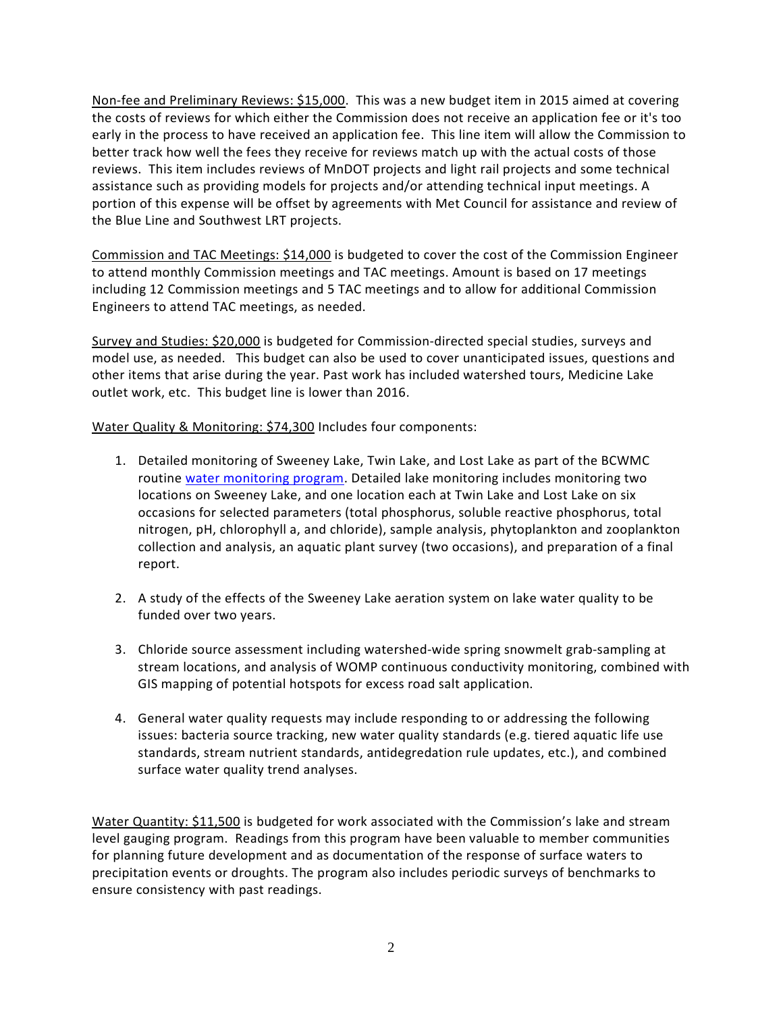Non-fee and Preliminary Reviews: \$15,000. This was a new budget item in 2015 aimed at covering the costs of reviews for which either the Commission does not receive an application fee or it's too early in the process to have received an application fee. This line item will allow the Commission to better track how well the fees they receive for reviews match up with the actual costs of those reviews. This item includes reviews of MnDOT projects and light rail projects and some technical assistance such as providing models for projects and/or attending technical input meetings. A portion of this expense will be offset by agreements with Met Council for assistance and review of the Blue Line and Southwest LRT projects.

Commission and TAC Meetings: \$14,000 is budgeted to cover the cost of the Commission Engineer to attend monthly Commission meetings and TAC meetings. Amount is based on 17 meetings including 12 Commission meetings and 5 TAC meetings and to allow for additional Commission Engineers to attend TAC meetings, as needed.

Survey and Studies: \$20,000 is budgeted for Commission-directed special studies, surveys and model use, as needed. This budget can also be used to cover unanticipated issues, questions and other items that arise during the year. Past work has included watershed tours, Medicine Lake outlet work, etc. This budget line is lower than 2016.

Water Quality & Monitoring: \$74,300 Includes four components:

- 1. Detailed monitoring of Sweeney Lake, Twin Lake, and Lost Lake as part of the BCWMC routine [water monitoring program.](http://www.bassettcreekwmo.org/application/files/7914/4676/6436/Appendix_A_Monitoring_Plan.pdf) Detailed lake monitoring includes monitoring two locations on Sweeney Lake, and one location each at Twin Lake and Lost Lake on six occasions for selected parameters (total phosphorus, soluble reactive phosphorus, total nitrogen, pH, chlorophyll a, and chloride), sample analysis, phytoplankton and zooplankton collection and analysis, an aquatic plant survey (two occasions), and preparation of a final report.
- 2. A study of the effects of the Sweeney Lake aeration system on lake water quality to be funded over two years.
- 3. Chloride source assessment including watershed-wide spring snowmelt grab-sampling at stream locations, and analysis of WOMP continuous conductivity monitoring, combined with GIS mapping of potential hotspots for excess road salt application.
- 4. General water quality requests may include responding to or addressing the following issues: bacteria source tracking, new water quality standards (e.g. tiered aquatic life use standards, stream nutrient standards, antidegredation rule updates, etc.), and combined surface water quality trend analyses.

Water Quantity: \$11,500 is budgeted for work associated with the Commission's lake and stream level gauging program. Readings from this program have been valuable to member communities for planning future development and as documentation of the response of surface waters to precipitation events or droughts. The program also includes periodic surveys of benchmarks to ensure consistency with past readings.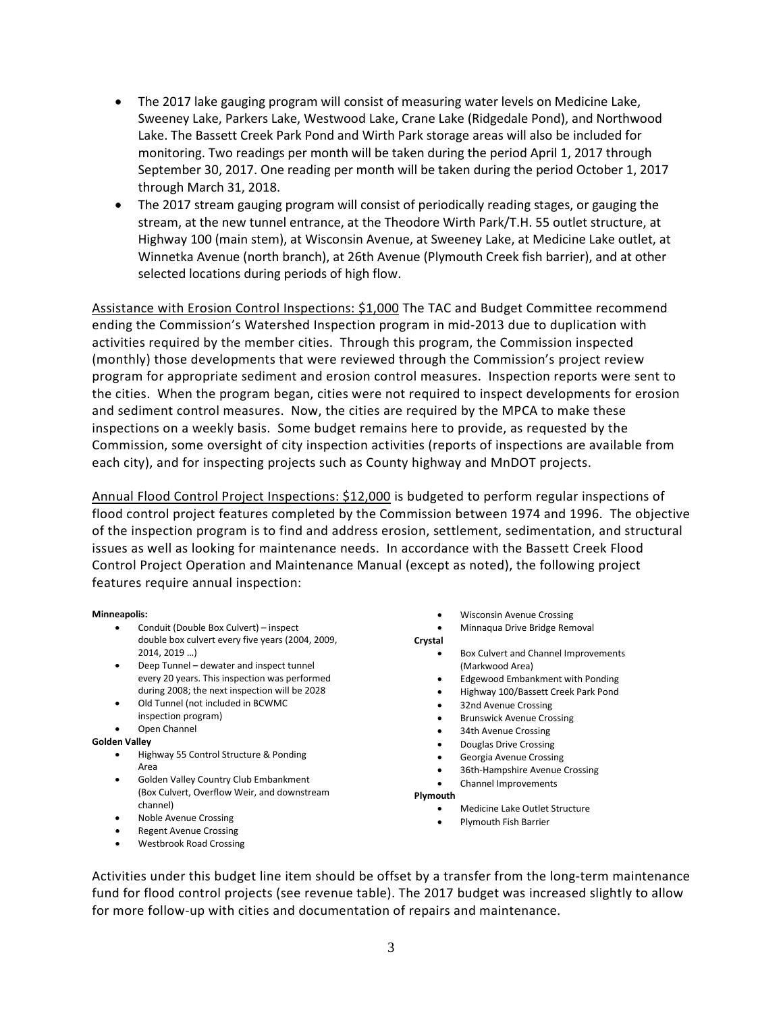- The 2017 lake gauging program will consist of measuring water levels on Medicine Lake, Sweeney Lake, Parkers Lake, Westwood Lake, Crane Lake (Ridgedale Pond), and Northwood Lake. The Bassett Creek Park Pond and Wirth Park storage areas will also be included for monitoring. Two readings per month will be taken during the period April 1, 2017 through September 30, 2017. One reading per month will be taken during the period October 1, 2017 through March 31, 2018.
- The 2017 stream gauging program will consist of periodically reading stages, or gauging the stream, at the new tunnel entrance, at the Theodore Wirth Park/T.H. 55 outlet structure, at Highway 100 (main stem), at Wisconsin Avenue, at Sweeney Lake, at Medicine Lake outlet, at Winnetka Avenue (north branch), at 26th Avenue (Plymouth Creek fish barrier), and at other selected locations during periods of high flow.

Assistance with Erosion Control Inspections: \$1,000 The TAC and Budget Committee recommend ending the Commission's Watershed Inspection program in mid-2013 due to duplication with activities required by the member cities. Through this program, the Commission inspected (monthly) those developments that were reviewed through the Commission's project review program for appropriate sediment and erosion control measures. Inspection reports were sent to the cities. When the program began, cities were not required to inspect developments for erosion and sediment control measures. Now, the cities are required by the MPCA to make these inspections on a weekly basis. Some budget remains here to provide, as requested by the Commission, some oversight of city inspection activities (reports of inspections are available from each city), and for inspecting projects such as County highway and MnDOT projects.

Annual Flood Control Project Inspections: \$12,000 is budgeted to perform regular inspections of flood control project features completed by the Commission between 1974 and 1996. The objective of the inspection program is to find and address erosion, settlement, sedimentation, and structural issues as well as looking for maintenance needs. In accordance with the Bassett Creek Flood Control Project Operation and Maintenance Manual (except as noted), the following project features require annual inspection:

#### **Minneapolis:**

- Conduit (Double Box Culvert) inspect double box culvert every five years (2004, 2009, 2014, 2019 …)
- Deep Tunnel dewater and inspect tunnel every 20 years. This inspection was performed during 2008; the next inspection will be 2028
- Old Tunnel (not included in BCWMC
- inspection program) • Open Channel

## **Golden Valley**

- Highway 55 Control Structure & Ponding Area
- Golden Valley Country Club Embankment (Box Culvert, Overflow Weir, and downstream channel)
- Noble Avenue Crossing
- **Regent Avenue Crossing**
- Westbrook Road Crossing
- Wisconsin Avenue Crossing
- Minnaqua Drive Bridge Removal

**Crystal**

- Box Culvert and Channel Improvements (Markwood Area)
- Edgewood Embankment with Ponding
- Highway 100/Bassett Creek Park Pond
- 32nd Avenue Crossing
- Brunswick Avenue Crossing
- 34th Avenue Crossing
- Douglas Drive Crossing
- Georgia Avenue Crossing
- 36th-Hampshire Avenue Crossing
- Channel Improvements
- **Plymouth**
	- Medicine Lake Outlet Structure
	- Plymouth Fish Barrier

Activities under this budget line item should be offset by a transfer from the long-term maintenance fund for flood control projects (see revenue table). The 2017 budget was increased slightly to allow for more follow-up with cities and documentation of repairs and maintenance.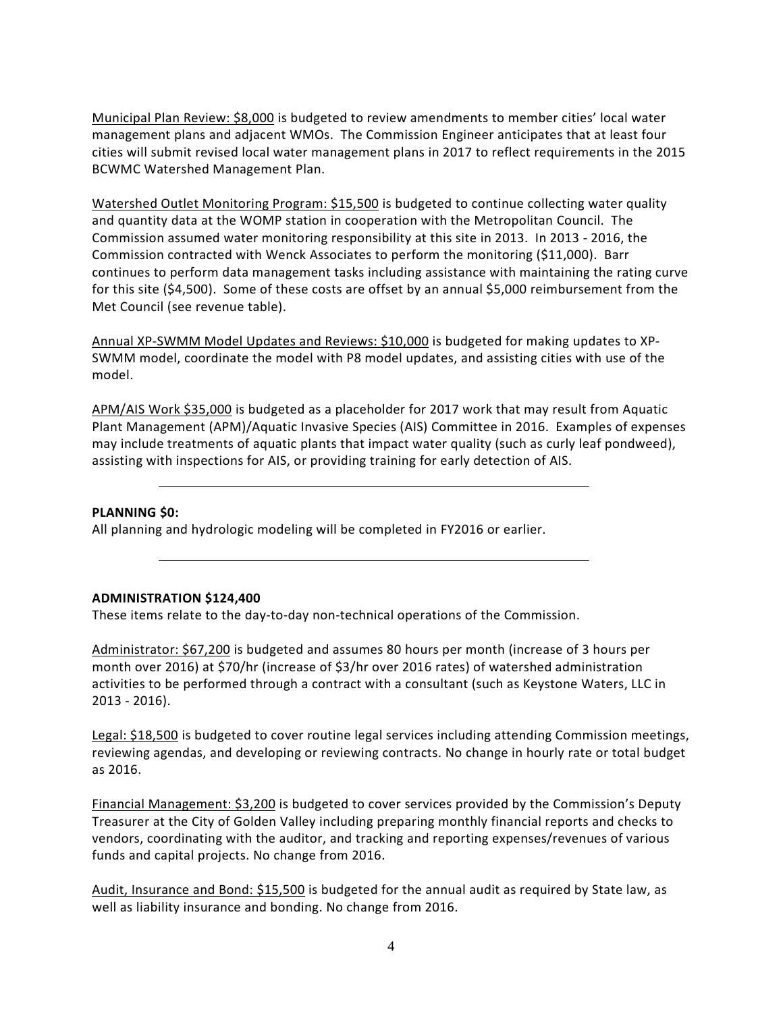Municipal Plan Review: \$8,000 is budgeted to review amendments to member cities' local water management plans and adjacent WMOs. The Commission Engineer anticipates that at least four cities will submit revised local water management plans in 2017 to reflect requirements in the 2015 BCWMC Watershed Management Plan.

Watershed Outlet Monitoring Program: \$15,500 is budgeted to continue collecting water quality and quantity data at the WOMP station in cooperation with the Metropolitan Council. The Commission assumed water monitoring responsibility at this site in 2013. In 2013 - 2016, the Commission contracted with Wenck Associates to perform the monitoring (\$11,000). Barr continues to perform data management tasks including assistance with maintaining the rating curve for this site (\$4,500). Some of these costs are offset by an annual \$5,000 reimbursement from the Met Council (see revenue table).

Annual XP-SWMM Model Updates and Reviews: \$10,000 is budgeted for making updates to XP-SWMM model, coordinate the model with P8 model updates, and assisting cities with use of the model.

APM/AIS Work \$35,000 is budgeted as a placeholder for 2017 work that may result from Aquatic Plant Management (APM)/Aquatic Invasive Species (AIS) Committee in 2016. Examples of expenses may include treatments of aquatic plants that impact water quality (such as curly leaf pondweed), assisting with inspections for AIS, or providing training for early detection of AIS.

#### **PLANNING \$0:**

All planning and hydrologic modeling will be completed in FY2016 or earlier.

#### **ADMINISTRATION \$124,400**

These items relate to the day-to-day non-technical operations of the Commission.

Administrator: \$67,200 is budgeted and assumes 80 hours per month (increase of 3 hours per month over 2016) at \$70/hr (increase of \$3/hr over 2016 rates) of watershed administration activities to be performed through a contract with a consultant (such as Keystone Waters, LLC in 2013 - 2016).

Legal: \$18,500 is budgeted to cover routine legal services including attending Commission meetings, reviewing agendas, and developing or reviewing contracts. No change in hourly rate or total budget as 2016.

Financial Management: \$3,200 is budgeted to cover services provided by the Commission's Deputy Treasurer at the City of Golden Valley including preparing monthly financial reports and checks to vendors, coordinating with the auditor, and tracking and reporting expenses/revenues of various funds and capital projects. No change from 2016.

Audit, Insurance and Bond: \$15,500 is budgeted for the annual audit as required by State law, as well as liability insurance and bonding. No change from 2016.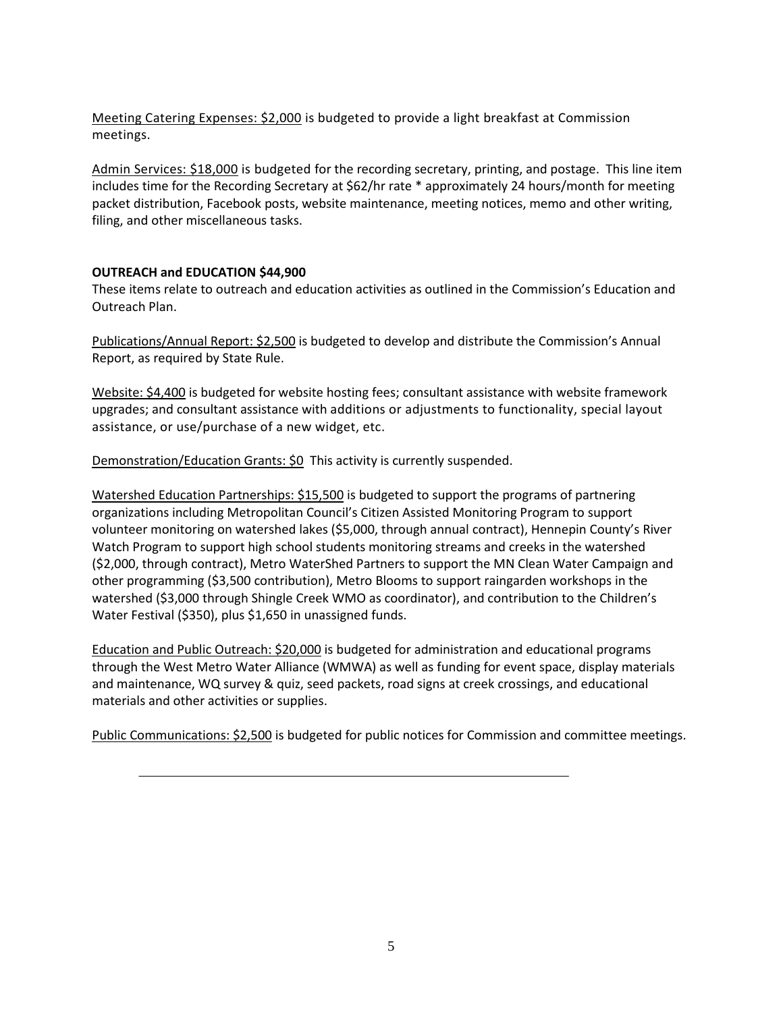Meeting Catering Expenses: \$2,000 is budgeted to provide a light breakfast at Commission meetings.

Admin Services: \$18,000 is budgeted for the recording secretary, printing, and postage. This line item includes time for the Recording Secretary at \$62/hr rate \* approximately 24 hours/month for meeting packet distribution, Facebook posts, website maintenance, meeting notices, memo and other writing, filing, and other miscellaneous tasks.

### **OUTREACH and EDUCATION \$44,900**

These items relate to outreach and education activities as outlined in the Commission's Education and Outreach Plan.

Publications/Annual Report: \$2,500 is budgeted to develop and distribute the Commission's Annual Report, as required by State Rule.

Website: \$4,400 is budgeted for website hosting fees; consultant assistance with website framework upgrades; and consultant assistance with additions or adjustments to functionality, special layout assistance, or use/purchase of a new widget, etc.

Demonstration/Education Grants: \$0 This activity is currently suspended.

Watershed Education Partnerships: \$15,500 is budgeted to support the programs of partnering organizations including Metropolitan Council's Citizen Assisted Monitoring Program to support volunteer monitoring on watershed lakes (\$5,000, through annual contract), Hennepin County's River Watch Program to support high school students monitoring streams and creeks in the watershed (\$2,000, through contract), Metro WaterShed Partners to support the MN Clean Water Campaign and other programming (\$3,500 contribution), Metro Blooms to support raingarden workshops in the watershed (\$3,000 through Shingle Creek WMO as coordinator), and contribution to the Children's Water Festival (\$350), plus \$1,650 in unassigned funds.

Education and Public Outreach: \$20,000 is budgeted for administration and educational programs through the West Metro Water Alliance (WMWA) as well as funding for event space, display materials and maintenance, WQ survey & quiz, seed packets, road signs at creek crossings, and educational materials and other activities or supplies.

Public Communications: \$2,500 is budgeted for public notices for Commission and committee meetings.